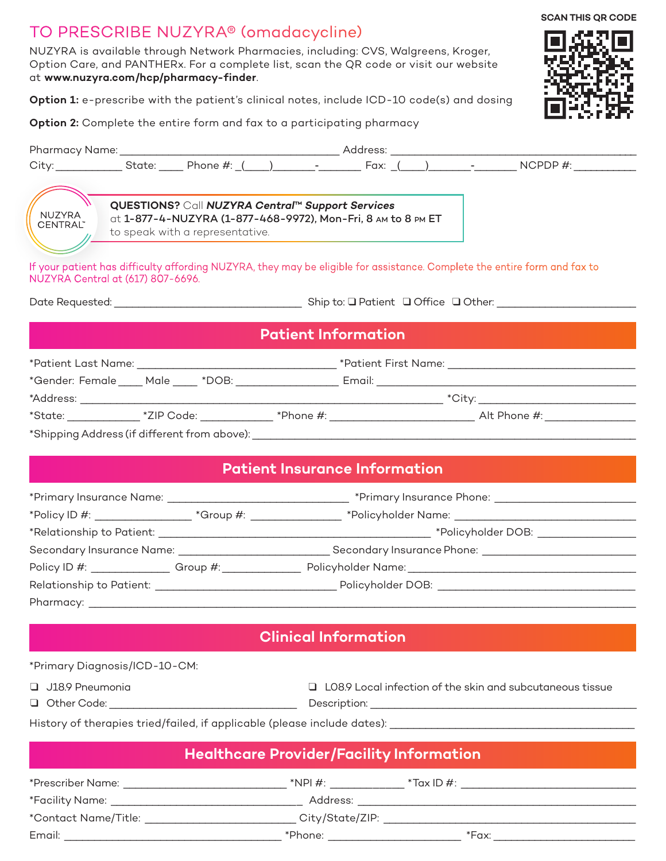## TO PRESCRIBE NUZYRA® (omadacycline)

Pharmacy: \_

NUZYRA is available through Network Pharmacies, including: CVS, Walgreens, Kroger, Option Care, and PANTHERx. For a complete list, scan the QR code or visit our website at **www.nuzyra.com/hcp/pharmacy-finder**.

**Option 1:** e-prescribe with the patient's clinical notes, include ICD-10 code(s) and dosing

**Option 2:** Complete the entire form and fax to a participating pharmacy



**SCAN THIS QR CODE**

| <b>NUZYRA</b><br>CENTRAL"<br>NUZYRA Central at (617) 807-6696.                                                                                                                                                                | QUESTIONS? Call NUZYRA Central™ Support Services<br>at 1-877-4-NUZYRA (1-877-468-9972), Mon-Fri, 8 AM to 8 PM ET<br>to speak with a representative. |                                      |  |  | If your patient has difficulty affording NUZYRA, they may be eligible for assistance. Complete the entire form and fax to               |  |
|-------------------------------------------------------------------------------------------------------------------------------------------------------------------------------------------------------------------------------|-----------------------------------------------------------------------------------------------------------------------------------------------------|--------------------------------------|--|--|-----------------------------------------------------------------------------------------------------------------------------------------|--|
|                                                                                                                                                                                                                               |                                                                                                                                                     |                                      |  |  |                                                                                                                                         |  |
| <b>Patient Information</b>                                                                                                                                                                                                    |                                                                                                                                                     |                                      |  |  |                                                                                                                                         |  |
|                                                                                                                                                                                                                               |                                                                                                                                                     |                                      |  |  |                                                                                                                                         |  |
|                                                                                                                                                                                                                               |                                                                                                                                                     |                                      |  |  |                                                                                                                                         |  |
|                                                                                                                                                                                                                               |                                                                                                                                                     |                                      |  |  |                                                                                                                                         |  |
|                                                                                                                                                                                                                               |                                                                                                                                                     |                                      |  |  | *State: _______________ *ZIP Code: _____________ *Phone #: _________________________________Alt Phone #: ______________________________ |  |
|                                                                                                                                                                                                                               |                                                                                                                                                     |                                      |  |  |                                                                                                                                         |  |
|                                                                                                                                                                                                                               |                                                                                                                                                     |                                      |  |  |                                                                                                                                         |  |
|                                                                                                                                                                                                                               |                                                                                                                                                     | <b>Patient Insurance Information</b> |  |  |                                                                                                                                         |  |
|                                                                                                                                                                                                                               |                                                                                                                                                     |                                      |  |  |                                                                                                                                         |  |
|                                                                                                                                                                                                                               |                                                                                                                                                     |                                      |  |  | *Policy ID #: ______________________*Group #: ___________________*Policyholder Name: _______________________________                    |  |
| $*$ Dolationship to Dationt: $*$ Definitions of the contract of the set of the set of the set of the set of the set of the set of the set of the set of the set of the set of the set of the set of the set of the set of the |                                                                                                                                                     |                                      |  |  |                                                                                                                                         |  |

| *Relationship to Patient: | *Policyholder DOB:         |  |  |
|---------------------------|----------------------------|--|--|
| Secondary Insurance Name: | Secondary Insurance Phone: |  |  |
| Policy ID #:<br>Group #:  | Policyholder Name:         |  |  |
| Relationship to Patient:  | Policyholder DOB:          |  |  |
|                           |                            |  |  |

**Clinical Information**

| *Primary Diagnosis/ICD-10-CM:                                            |                                                                  |  |  |  |  |
|--------------------------------------------------------------------------|------------------------------------------------------------------|--|--|--|--|
| $\Box$ J18.9 Pneumonia                                                   | $\Box$ LO8.9 Local infection of the skin and subcutaneous tissue |  |  |  |  |
| Other Code: with a control of the code:<br>$\Box$                        | Description: <u>________________________________</u>             |  |  |  |  |
| History of therapies tried/failed, if applicable (please include dates): |                                                                  |  |  |  |  |
| <b>Healthcare Provider/Facility Information</b>                          |                                                                  |  |  |  |  |

| *Prescriber Name:                         | $*$ NPI#:       | $*$ Tax ID #: |
|-------------------------------------------|-----------------|---------------|
| *Facility Name: _________________________ | Address:        |               |
| *Contact Name/Title:                      | City/State/ZIP: |               |
| Email:                                    | $*$ Phone: $*$  | *Fax:         |